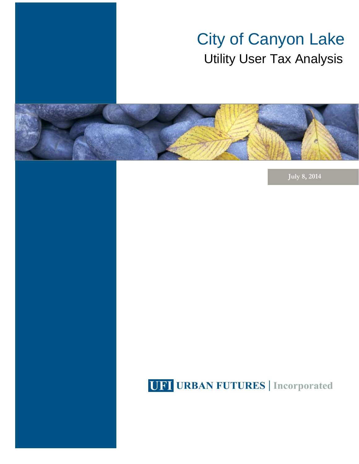# City of Canyon Lake Utility User Tax Analysis



**July 8, 2014** 

### **UFI URBAN FUTURES** | Incorporated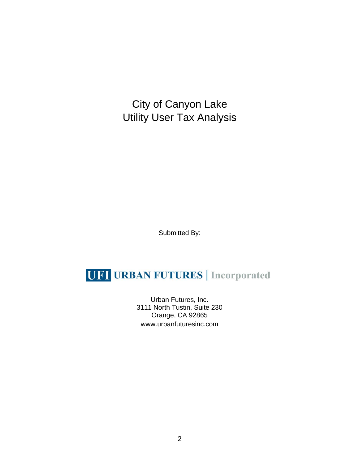City of Canyon Lake Utility User Tax Analysis

Submitted By:

### **UFI URBAN FUTURES** | Incorporated

Urban Futures, Inc. 3111 North Tustin, Suite 230 Orange, CA 92865 www.urbanfuturesinc.com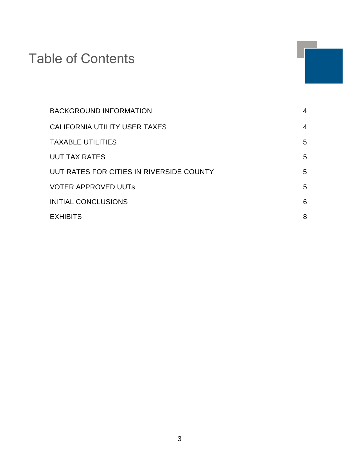## Table of Contents

| <b>BACKGROUND INFORMATION</b>            | 4 |
|------------------------------------------|---|
| CALIFORNIA UTILITY USER TAXES            | 4 |
| <b>TAXABLE UTILITIES</b>                 | 5 |
| <b>UUT TAX RATES</b>                     | 5 |
| UUT RATES FOR CITIES IN RIVERSIDE COUNTY | 5 |
| <b>VOTER APPROVED UUTS</b>               | 5 |
| <b>INITIAL CONCLUSIONS</b>               | 6 |
| <b>EXHIBITS</b>                          | 8 |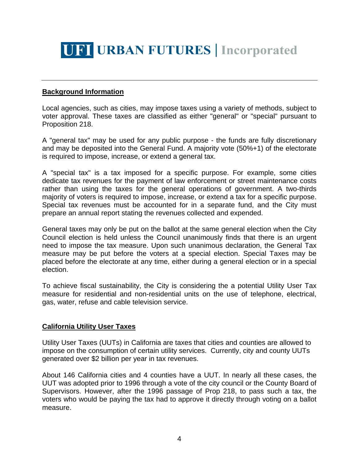

#### **Background Information**

Local agencies, such as cities, may impose taxes using a variety of methods, subject to voter approval. These taxes are classified as either "general" or "special" pursuant to Proposition 218.

A "general tax" may be used for any public purpose - the funds are fully discretionary and may be deposited into the General Fund. A majority vote (50%+1) of the electorate is required to impose, increase, or extend a general tax.

A "special tax" is a tax imposed for a specific purpose. For example, some cities dedicate tax revenues for the payment of law enforcement or street maintenance costs rather than using the taxes for the general operations of government. A two-thirds majority of voters is required to impose, increase, or extend a tax for a specific purpose. Special tax revenues must be accounted for in a separate fund, and the City must prepare an annual report stating the revenues collected and expended.

General taxes may only be put on the ballot at the same general election when the City Council election is held unless the Council unanimously finds that there is an urgent need to impose the tax measure. Upon such unanimous declaration, the General Tax measure may be put before the voters at a special election. Special Taxes may be placed before the electorate at any time, either during a general election or in a special election.

To achieve fiscal sustainability, the City is considering the a potential Utility User Tax measure for residential and non-residential units on the use of telephone, electrical, gas, water, refuse and cable television service.

#### **California Utility User Taxes**

Utility User Taxes (UUTs) in California are taxes that cities and counties are allowed to impose on the consumption of certain utility services. Currently, city and county UUTs generated over \$2 billion per year in tax revenues.

About 146 California cities and 4 counties have a UUT. In nearly all these cases, the UUT was adopted prior to 1996 through a vote of the city council or the County Board of Supervisors. However, after the 1996 passage of Prop 218, to pass such a tax, the voters who would be paying the tax had to approve it directly through voting on a ballot measure.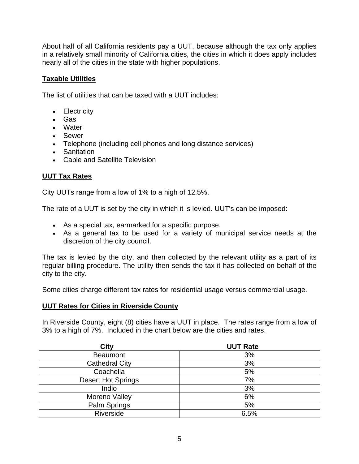About half of all California residents pay a UUT, because although the tax only applies in a relatively small minority of California cities, the cities in which it does apply includes nearly all of the cities in the state with higher populations.

#### **Taxable Utilities**

The list of utilities that can be taxed with a UUT includes:

- Electricity
- Gas
- Water
- Sewer
- Telephone (including cell phones and long distance services)
- Sanitation
- Cable and Satellite Television

#### **UUT Tax Rates**

City UUTs range from a low of 1% to a high of 12.5%.

The rate of a UUT is set by the city in which it is levied. UUT's can be imposed:

- As a special tax, earmarked for a specific purpose.
- As a general tax to be used for a variety of municipal service needs at the discretion of the city council.

The tax is levied by the city, and then collected by the relevant utility as a part of its regular billing procedure. The utility then sends the tax it has collected on behalf of the city to the city.

Some cities charge different tax rates for residential usage versus commercial usage.

#### **UUT Rates for Cities in Riverside County**

In Riverside County, eight (8) cities have a UUT in place. The rates range from a low of 3% to a high of 7%. Included in the chart below are the cities and rates.

| <b>City</b>               | <b>UUT Rate</b> |
|---------------------------|-----------------|
| <b>Beaumont</b>           | 3%              |
| <b>Cathedral City</b>     | 3%              |
| Coachella                 | 5%              |
| <b>Desert Hot Springs</b> | 7%              |
| Indio                     | 3%              |
| Moreno Valley             | 6%              |
| Palm Springs              | 5%              |
| Riverside                 | 6.5%            |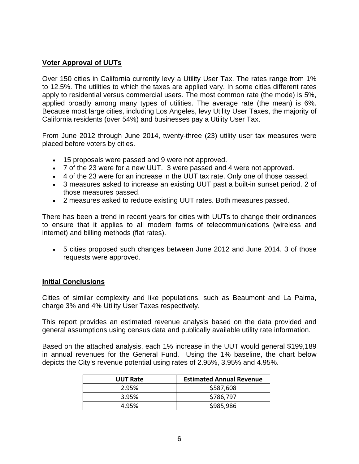#### **Voter Approval of UUTs**

Over 150 cities in California currently levy a Utility User Tax. The rates range from 1% to 12.5%. The utilities to which the taxes are applied vary. In some cities different rates apply to residential versus commercial users. The most common rate (the mode) is 5%, applied broadly among many types of utilities. The average rate (the mean) is 6%. Because most large cities, including Los Angeles, levy Utility User Taxes, the majority of California residents (over 54%) and businesses pay a Utility User Tax.

From June 2012 through June 2014, twenty-three (23) utility user tax measures were placed before voters by cities.

- 15 proposals were passed and 9 were not approved.
- 7 of the 23 were for a new UUT. 3 were passed and 4 were not approved.
- 4 of the 23 were for an increase in the UUT tax rate. Only one of those passed.
- 3 measures asked to increase an existing UUT past a built-in sunset period. 2 of those measures passed.
- 2 measures asked to reduce existing UUT rates. Both measures passed.

There has been a trend in recent years for cities with UUTs to change their ordinances to ensure that it applies to all modern forms of telecommunications (wireless and internet) and billing methods (flat rates).

 5 cities proposed such changes between June 2012 and June 2014. 3 of those requests were approved.

#### **Initial Conclusions**

Cities of similar complexity and like populations, such as Beaumont and La Palma, charge 3% and 4% Utility User Taxes respectively.

This report provides an estimated revenue analysis based on the data provided and general assumptions using census data and publically available utility rate information.

Based on the attached analysis, each 1% increase in the UUT would general \$199,189 in annual revenues for the General Fund. Using the 1% baseline, the chart below depicts the City's revenue potential using rates of 2.95%, 3.95% and 4.95%.

| <b>UUT Rate</b> | <b>Estimated Annual Revenue</b> |
|-----------------|---------------------------------|
| 2.95%           | \$587,608                       |
| 3.95%           | \$786,797                       |
| 4.95%           | \$985,986                       |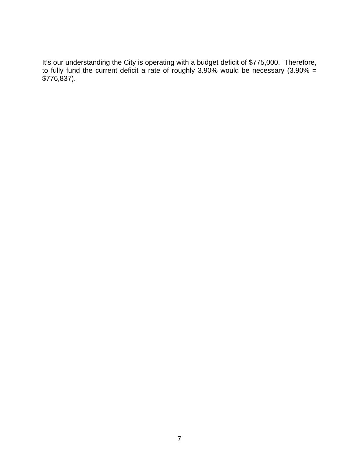It's our understanding the City is operating with a budget deficit of \$775,000. Therefore, to fully fund the current deficit a rate of roughly 3.90% would be necessary (3.90% = \$776,837).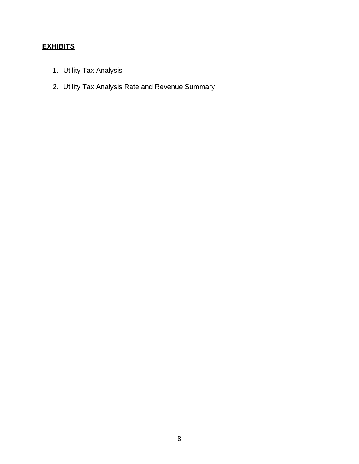#### **EXHIBITS**

- 1. Utility Tax Analysis
- 2. Utility Tax Analysis Rate and Revenue Summary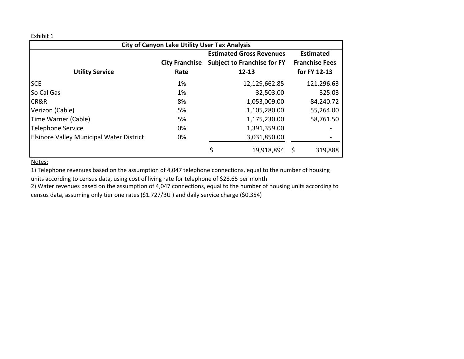Exhibit 1

| <b>City of Canyon Lake Utility User Tax Analysis</b> |                       |    |                                    |  |                       |  |  |  |  |  |  |  |
|------------------------------------------------------|-----------------------|----|------------------------------------|--|-----------------------|--|--|--|--|--|--|--|
|                                                      |                       |    | <b>Estimated Gross Revenues</b>    |  | <b>Estimated</b>      |  |  |  |  |  |  |  |
|                                                      | <b>City Franchise</b> |    | <b>Subject to Franchise for FY</b> |  | <b>Franchise Fees</b> |  |  |  |  |  |  |  |
| <b>Utility Service</b>                               | Rate                  |    | $12 - 13$                          |  | for FY 12-13          |  |  |  |  |  |  |  |
| <b>SCE</b>                                           | 1%                    |    | 12,129,662.85                      |  | 121,296.63            |  |  |  |  |  |  |  |
| So Cal Gas                                           | 1%                    |    | 32,503.00                          |  | 325.03                |  |  |  |  |  |  |  |
| CR&R                                                 | 8%                    |    | 1,053,009.00                       |  | 84,240.72             |  |  |  |  |  |  |  |
| Verizon (Cable)                                      | 5%                    |    | 1,105,280.00                       |  | 55,264.00             |  |  |  |  |  |  |  |
| Time Warner (Cable)                                  | 5%                    |    | 1,175,230.00                       |  | 58,761.50             |  |  |  |  |  |  |  |
| <b>Telephone Service</b>                             | 0%                    |    | 1,391,359.00                       |  |                       |  |  |  |  |  |  |  |
| Elsinore Valley Municipal Water District             | 0%                    |    | 3,031,850.00                       |  |                       |  |  |  |  |  |  |  |
|                                                      |                       | \$ | 19,918,894                         |  | 319,888               |  |  |  |  |  |  |  |

Notes:

1) Telephone revenues based on the assumption of 4,047 telephone connections, equal to the number of housing

units according to census data, using cost of living rate for telephone of \$28.65 per month

2) Water revenues based on the assumption of 4,047 connections, equal to the number of housing units according to census data, assuming only tier one rates (\$1.727/BU ) and daily service charge (\$0.354)